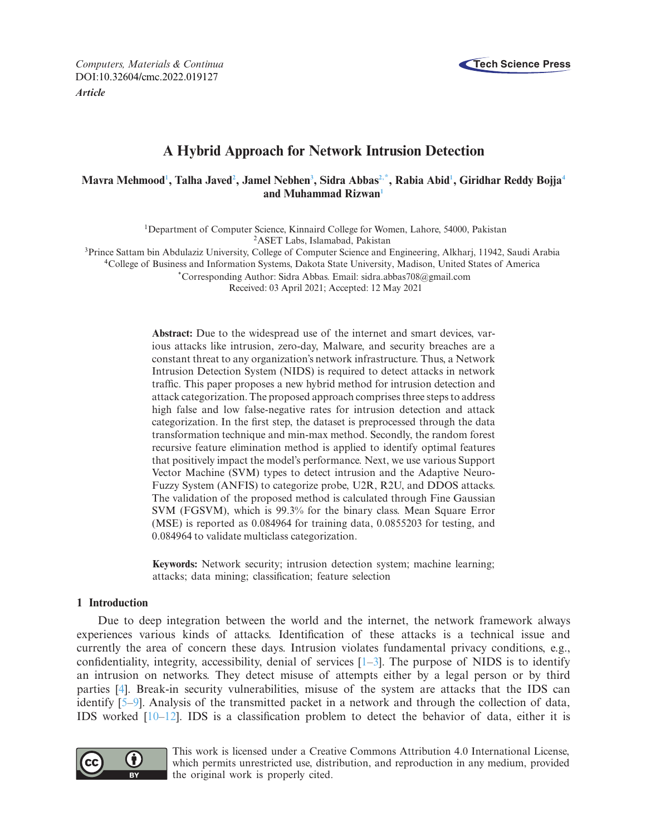

*Computers, Materials & Continua* **Tech Science Press** DOI[:10.32604/cmc.2022.019127](http://dx.doi.org/10.32604/cmc.2022.019127)

## **Article**

# **A Hybrid Approach for Network Intrusion Detection**

## $M$ avra Mehmood<sup>1</sup>, Talha Javed<sup>2</sup>, Jamel Nebhen<sup>3</sup>, Sidra Abbas<sup>2,\*</sup>, Rabia Abid<sup>1</sup>, Giridhar Reddy Bojja<sup>4</sup> and Muhammad Rizwan<sup>1</sup>

<span id="page-0-0"></span>1Department of Computer Science, Kinnaird College for Women, Lahore, 54000, Pakistan 2ASET Labs, Islamabad, Pakistan

<span id="page-0-2"></span><sup>3</sup>Prince Sattam bin Abdulaziz University, College of Computer Science and Engineering, Alkharj, 11942, Saudi Arabia

<span id="page-0-4"></span>4College of Business and Information Systems, Dakota State University, Madison, United States of America

<span id="page-0-3"></span>\*Corresponding Author: Sidra Abbas. Email: sidra.abbas708@gmail.com

<span id="page-0-1"></span>Received: 03 April 2021; Accepted: 12 May 2021

**Abstract:** Due to the widespread use of the internet and smart devices, various attacks like intrusion, zero-day, Malware, and security breaches are a constant threat to any organization's network infrastructure. Thus, a Network Intrusion Detection System (NIDS) is required to detect attacks in network traffic. This paper proposes a new hybrid method for intrusion detection and attack categorization. The proposed approach comprises three steps to address high false and low false-negative rates for intrusion detection and attack categorization. In the first step, the dataset is preprocessed through the data transformation technique and min-max method. Secondly, the random forest recursive feature elimination method is applied to identify optimal features that positively impact the model's performance. Next, we use various Support Vector Machine (SVM) types to detect intrusion and the Adaptive Neuro-Fuzzy System (ANFIS) to categorize probe, U2R, R2U, and DDOS attacks. The validation of the proposed method is calculated through Fine Gaussian SVM (FGSVM), which is 99.3% for the binary class. Mean Square Error (MSE) is reported as 0.084964 for training data, 0.0855203 for testing, and 0.084964 to validate multiclass categorization.

**Keywords:** Network security; intrusion detection system; machine learning; attacks; data mining; classification; feature selection

## **1 Introduction**

Due to deep integration between the world and the internet, the network framework always experiences various kinds of attacks. Identification of these attacks is a technical issue and currently the area of concern these days. Intrusion violates fundamental privacy conditions, e.g., confidentiality, integrity, accessibility, denial of services  $[1-3]$  $[1-3]$ . The purpose of NIDS is to identify an intrusion on networks. They detect misuse of attempts either by a legal person or by third parties [\[4\]](#page-14-2). Break-in security vulnerabilities, misuse of the system are attacks that the IDS can identify [\[5](#page-14-3)[–9\]](#page-14-4). Analysis of the transmitted packet in a network and through the collection of data, IDS worked  $[10-12]$  $[10-12]$ . IDS is a classification problem to detect the behavior of data, either it is



This work is licensed under a Creative Commons Attribution 4.0 International License, which permits unrestricted use, distribution, and reproduction in any medium, provided the original work is properly cited.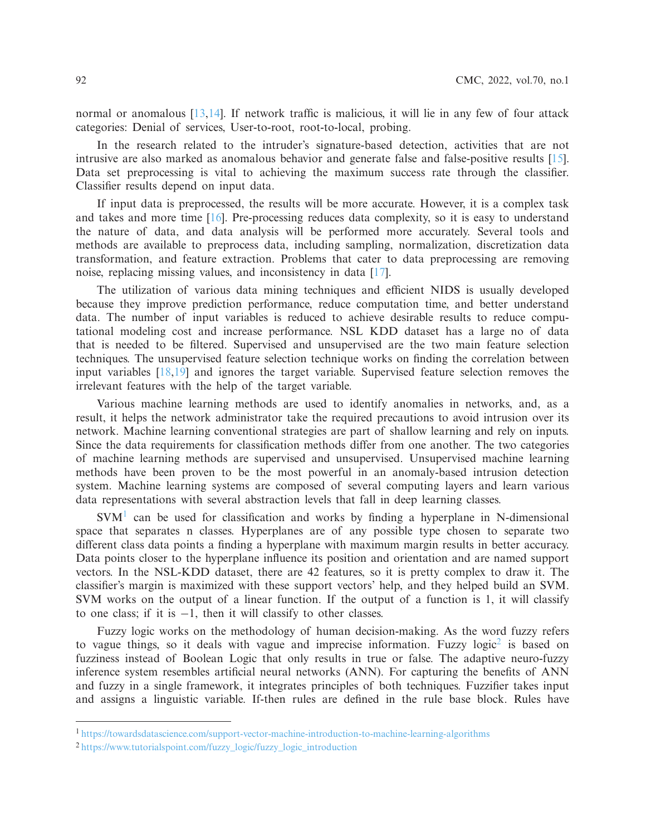normal or anomalous [\[13](#page-15-1)[,14\]](#page-15-2). If network traffic is malicious, it will lie in any few of four attack categories: Denial of services, User-to-root, root-to-local, probing.

In the research related to the intruder's signature-based detection, activities that are not intrusive are also marked as anomalous behavior and generate false and false-positive results [\[15\]](#page-15-3). Data set preprocessing is vital to achieving the maximum success rate through the classifier. Classifier results depend on input data.

If input data is preprocessed, the results will be more accurate. However, it is a complex task and takes and more time [\[16](#page-15-4)]. Pre-processing reduces data complexity, so it is easy to understand the nature of data, and data analysis will be performed more accurately. Several tools and methods are available to preprocess data, including sampling, normalization, discretization data transformation, and feature extraction. Problems that cater to data preprocessing are removing noise, replacing missing values, and inconsistency in data [\[17](#page-15-5)].

The utilization of various data mining techniques and efficient NIDS is usually developed because they improve prediction performance, reduce computation time, and better understand data. The number of input variables is reduced to achieve desirable results to reduce computational modeling cost and increase performance. NSL KDD dataset has a large no of data that is needed to be filtered. Supervised and unsupervised are the two main feature selection techniques. The unsupervised feature selection technique works on finding the correlation between input variables [\[18](#page-15-6)[,19](#page-15-7)] and ignores the target variable. Supervised feature selection removes the irrelevant features with the help of the target variable.

Various machine learning methods are used to identify anomalies in networks, and, as a result, it helps the network administrator take the required precautions to avoid intrusion over its network. Machine learning conventional strategies are part of shallow learning and rely on inputs. Since the data requirements for classification methods differ from one another. The two categories of machine learning methods are supervised and unsupervised. Unsupervised machine learning methods have been proven to be the most powerful in an anomaly-based intrusion detection system. Machine learning systems are composed of several computing layers and learn various data representations with several abstraction levels that fall in deep learning classes.

 $SVM<sup>1</sup>$  can be used for classification and works by finding a hyperplane in N-dimensional space that separates n classes. Hyperplanes are of any possible type chosen to separate two different class data points a finding a hyperplane with maximum margin results in better accuracy. Data points closer to the hyperplane influence its position and orientation and are named support vectors. In the NSL-KDD dataset, there are 42 features, so it is pretty complex to draw it. The classifier's margin is maximized with these support vectors' help, and they helped build an SVM. SVM works on the output of a linear function. If the output of a function is 1, it will classify to one class; if it is −1, then it will classify to other classes.

Fuzzy logic works on the methodology of human decision-making. As the word fuzzy refers to vague things, so it deals with vague and imprecise information. Fuzzy  $logic^2$  $logic^2$  is based on fuzziness instead of Boolean Logic that only results in true or false. The adaptive neuro-fuzzy inference system resembles artificial neural networks (ANN). For capturing the benefits of ANN and fuzzy in a single framework, it integrates principles of both techniques. Fuzzifier takes input and assigns a linguistic variable. If-then rules are defined in the rule base block. Rules have

<sup>1</sup> <https://towardsdatascience.com/support-vector-machine-introduction-to-machine-learning-algorithms>

<span id="page-1-1"></span><span id="page-1-0"></span><sup>2</sup> [https://www.tutorialspoint.com/fuzzy\\_logic/fuzzy\\_logic\\_introduction](https://www.tutorialspoint.com/fuzzy_logic/fuzzy_logic_introduction)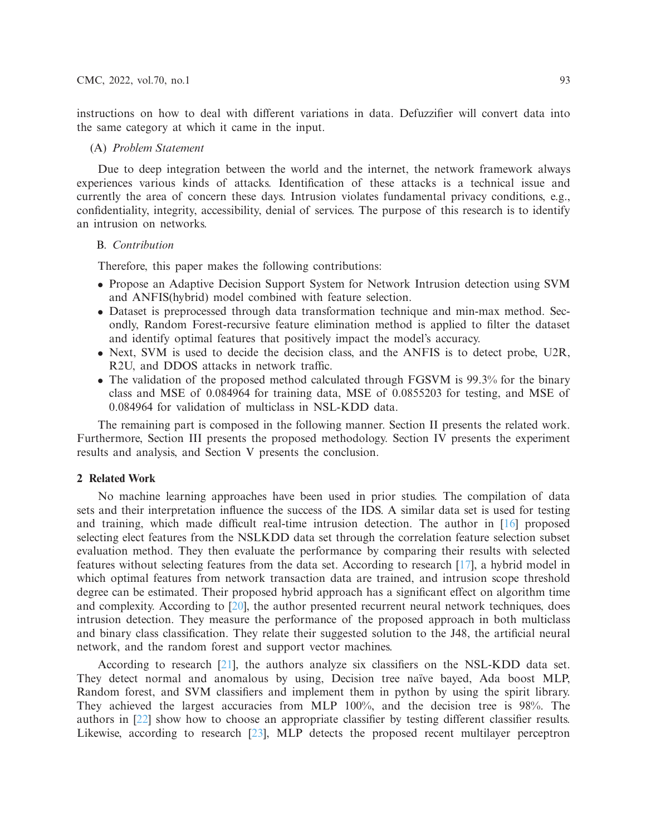instructions on how to deal with different variations in data. Defuzzifier will convert data into the same category at which it came in the input.

## (A) *Problem Statement*

Due to deep integration between the world and the internet, the network framework always experiences various kinds of attacks. Identification of these attacks is a technical issue and currently the area of concern these days. Intrusion violates fundamental privacy conditions, e.g., confidentiality, integrity, accessibility, denial of services. The purpose of this research is to identify an intrusion on networks.

### B. *Contribution*

Therefore, this paper makes the following contributions:

- Propose an Adaptive Decision Support System for Network Intrusion detection using SVM and ANFIS(hybrid) model combined with feature selection.
- Dataset is preprocessed through data transformation technique and min-max method. Secondly, Random Forest-recursive feature elimination method is applied to filter the dataset and identify optimal features that positively impact the model's accuracy.
- Next, SVM is used to decide the decision class, and the ANFIS is to detect probe, U2R, R2U, and DDOS attacks in network traffic.
- The validation of the proposed method calculated through FGSVM is 99.3% for the binary class and MSE of 0.084964 for training data, MSE of 0.0855203 for testing, and MSE of 0.084964 for validation of multiclass in NSL-KDD data.

The remaining part is composed in the following manner. Section II presents the related work. Furthermore, Section III presents the proposed methodology. Section IV presents the experiment results and analysis, and Section V presents the conclusion.

## **2 Related Work**

No machine learning approaches have been used in prior studies. The compilation of data sets and their interpretation influence the success of the IDS. A similar data set is used for testing and training, which made difficult real-time intrusion detection. The author in [\[16\]](#page-15-4) proposed selecting elect features from the NSLKDD data set through the correlation feature selection subset evaluation method. They then evaluate the performance by comparing their results with selected features without selecting features from the data set. According to research [\[17\]](#page-15-5), a hybrid model in which optimal features from network transaction data are trained, and intrusion scope threshold degree can be estimated. Their proposed hybrid approach has a significant effect on algorithm time and complexity. According to [\[20\]](#page-15-8), the author presented recurrent neural network techniques, does intrusion detection. They measure the performance of the proposed approach in both multiclass and binary class classification. They relate their suggested solution to the J48, the artificial neural network, and the random forest and support vector machines.

According to research [\[21\]](#page-15-9), the authors analyze six classifiers on the NSL-KDD data set. They detect normal and anomalous by using, Decision tree naïve bayed, Ada boost MLP, Random forest, and SVM classifiers and implement them in python by using the spirit library. They achieved the largest accuracies from MLP 100%, and the decision tree is 98%. The authors in [\[22\]](#page-15-10) show how to choose an appropriate classifier by testing different classifier results. Likewise, according to research [\[23\]](#page-15-11), MLP detects the proposed recent multilayer perceptron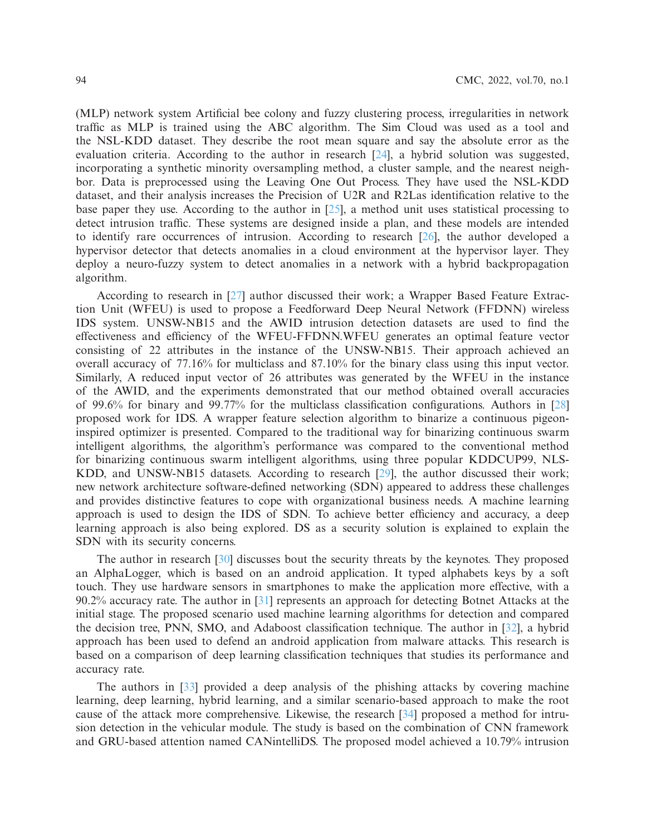(MLP) network system Artificial bee colony and fuzzy clustering process, irregularities in network traffic as MLP is trained using the ABC algorithm. The Sim Cloud was used as a tool and the NSL-KDD dataset. They describe the root mean square and say the absolute error as the evaluation criteria. According to the author in research [\[24\]](#page-15-12), a hybrid solution was suggested, incorporating a synthetic minority oversampling method, a cluster sample, and the nearest neighbor. Data is preprocessed using the Leaving One Out Process. They have used the NSL-KDD dataset, and their analysis increases the Precision of U2R and R2Las identification relative to the base paper they use. According to the author in [\[25\]](#page-15-13), a method unit uses statistical processing to detect intrusion traffic. These systems are designed inside a plan, and these models are intended to identify rare occurrences of intrusion. According to research [\[26](#page-15-14)], the author developed a hypervisor detector that detects anomalies in a cloud environment at the hypervisor layer. They deploy a neuro-fuzzy system to detect anomalies in a network with a hybrid backpropagation algorithm.

According to research in [\[27](#page-15-15)] author discussed their work; a Wrapper Based Feature Extraction Unit (WFEU) is used to propose a Feedforward Deep Neural Network (FFDNN) wireless IDS system. UNSW-NB15 and the AWID intrusion detection datasets are used to find the effectiveness and efficiency of the WFEU-FFDNN.WFEU generates an optimal feature vector consisting of 22 attributes in the instance of the UNSW-NB15. Their approach achieved an overall accuracy of 77.16% for multiclass and 87.10% for the binary class using this input vector. Similarly, A reduced input vector of 26 attributes was generated by the WFEU in the instance of the AWID, and the experiments demonstrated that our method obtained overall accuracies of 99.6% for binary and 99.77% for the multiclass classification configurations. Authors in [\[28\]](#page-15-16) proposed work for IDS. A wrapper feature selection algorithm to binarize a continuous pigeoninspired optimizer is presented. Compared to the traditional way for binarizing continuous swarm intelligent algorithms, the algorithm's performance was compared to the conventional method for binarizing continuous swarm intelligent algorithms, using three popular KDDCUP99, NLS-KDD, and UNSW-NB15 datasets. According to research [\[29](#page-15-17)], the author discussed their work; new network architecture software-defined networking (SDN) appeared to address these challenges and provides distinctive features to cope with organizational business needs. A machine learning approach is used to design the IDS of SDN. To achieve better efficiency and accuracy, a deep learning approach is also being explored. DS as a security solution is explained to explain the SDN with its security concerns.

The author in research [\[30\]](#page-15-18) discusses bout the security threats by the keynotes. They proposed an AlphaLogger, which is based on an android application. It typed alphabets keys by a soft touch. They use hardware sensors in smartphones to make the application more effective, with a 90.2% accuracy rate. The author in [\[31\]](#page-16-0) represents an approach for detecting Botnet Attacks at the initial stage. The proposed scenario used machine learning algorithms for detection and compared the decision tree, PNN, SMO, and Adaboost classification technique. The author in [\[32](#page-16-1)], a hybrid approach has been used to defend an android application from malware attacks. This research is based on a comparison of deep learning classification techniques that studies its performance and accuracy rate.

The authors in [\[33\]](#page-16-2) provided a deep analysis of the phishing attacks by covering machine learning, deep learning, hybrid learning, and a similar scenario-based approach to make the root cause of the attack more comprehensive. Likewise, the research [\[34](#page-16-3)] proposed a method for intrusion detection in the vehicular module. The study is based on the combination of CNN framework and GRU-based attention named CANintelliDS. The proposed model achieved a 10.79% intrusion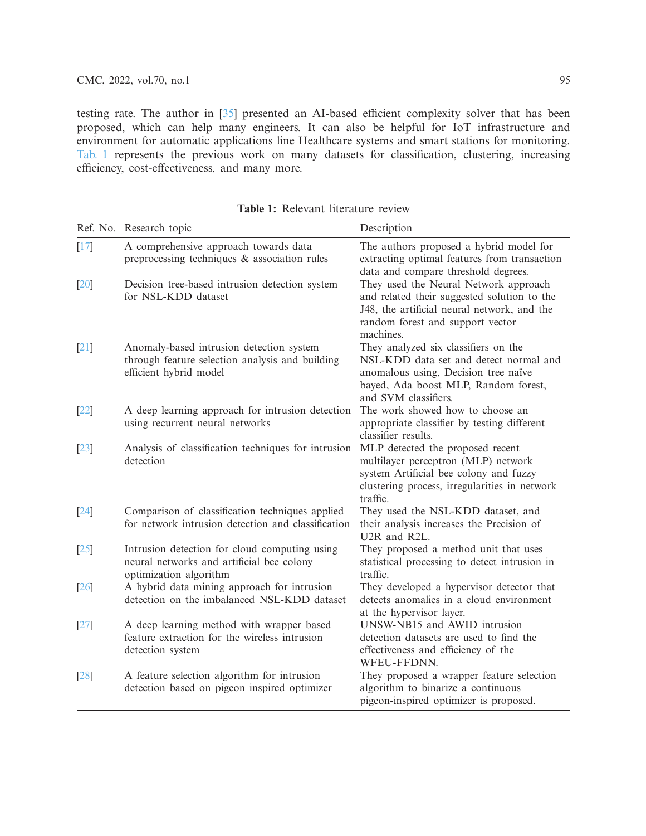testing rate. The author in [\[35\]](#page-16-4) presented an AI-based efficient complexity solver that has been proposed, which can help many engineers. It can also be helpful for IoT infrastructure and environment for automatic applications line Healthcare systems and smart stations for monitoring. [Tab. 1](#page-4-0) represents the previous work on many datasets for classification, clustering, increasing efficiency, cost-effectiveness, and many more.

<span id="page-4-0"></span>

|        | Ref. No. Research topic                                                                                               | Description                                                                                                                                                                            |
|--------|-----------------------------------------------------------------------------------------------------------------------|----------------------------------------------------------------------------------------------------------------------------------------------------------------------------------------|
| $[17]$ | A comprehensive approach towards data<br>preprocessing techniques $\&$ association rules                              | The authors proposed a hybrid model for<br>extracting optimal features from transaction<br>data and compare threshold degrees.                                                         |
| [20]   | Decision tree-based intrusion detection system<br>for NSL-KDD dataset                                                 | They used the Neural Network approach<br>and related their suggested solution to the<br>J48, the artificial neural network, and the<br>random forest and support vector<br>machines.   |
| $[21]$ | Anomaly-based intrusion detection system<br>through feature selection analysis and building<br>efficient hybrid model | They analyzed six classifiers on the<br>NSL-KDD data set and detect normal and<br>anomalous using, Decision tree naïve<br>bayed, Ada boost MLP, Random forest,<br>and SVM classifiers. |
| $[22]$ | A deep learning approach for intrusion detection<br>using recurrent neural networks                                   | The work showed how to choose an<br>appropriate classifier by testing different<br>classifier results.                                                                                 |
| [23]   | Analysis of classification techniques for intrusion<br>detection                                                      | MLP detected the proposed recent<br>multilayer perceptron (MLP) network<br>system Artificial bee colony and fuzzy<br>clustering process, irregularities in network<br>traffic.         |
| $[24]$ | Comparison of classification techniques applied<br>for network intrusion detection and classification                 | They used the NSL-KDD dataset, and<br>their analysis increases the Precision of<br>U2R and R2L.                                                                                        |
| $[25]$ | Intrusion detection for cloud computing using<br>neural networks and artificial bee colony<br>optimization algorithm  | They proposed a method unit that uses<br>statistical processing to detect intrusion in<br>traffic.                                                                                     |
| [26]   | A hybrid data mining approach for intrusion<br>detection on the imbalanced NSL-KDD dataset                            | They developed a hypervisor detector that<br>detects anomalies in a cloud environment<br>at the hypervisor layer.                                                                      |
| $[27]$ | A deep learning method with wrapper based<br>feature extraction for the wireless intrusion<br>detection system        | UNSW-NB15 and AWID intrusion<br>detection datasets are used to find the<br>effectiveness and efficiency of the<br>WFEU-FFDNN.                                                          |
| $[28]$ | A feature selection algorithm for intrusion<br>detection based on pigeon inspired optimizer                           | They proposed a wrapper feature selection<br>algorithm to binarize a continuous<br>pigeon-inspired optimizer is proposed.                                                              |

**Table 1:** Relevant literature review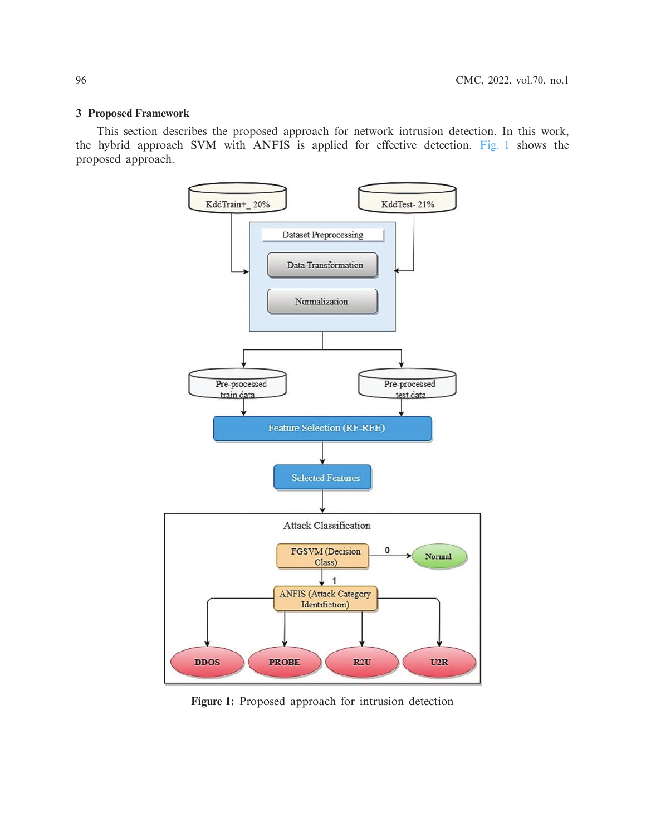## **3 Proposed Framework**

This section describes the proposed approach for network intrusion detection. In this work, the hybrid approach SVM with ANFIS is applied for effective detection. [Fig. 1](#page-5-0) shows the proposed approach.



<span id="page-5-0"></span>**Figure 1:** Proposed approach for intrusion detection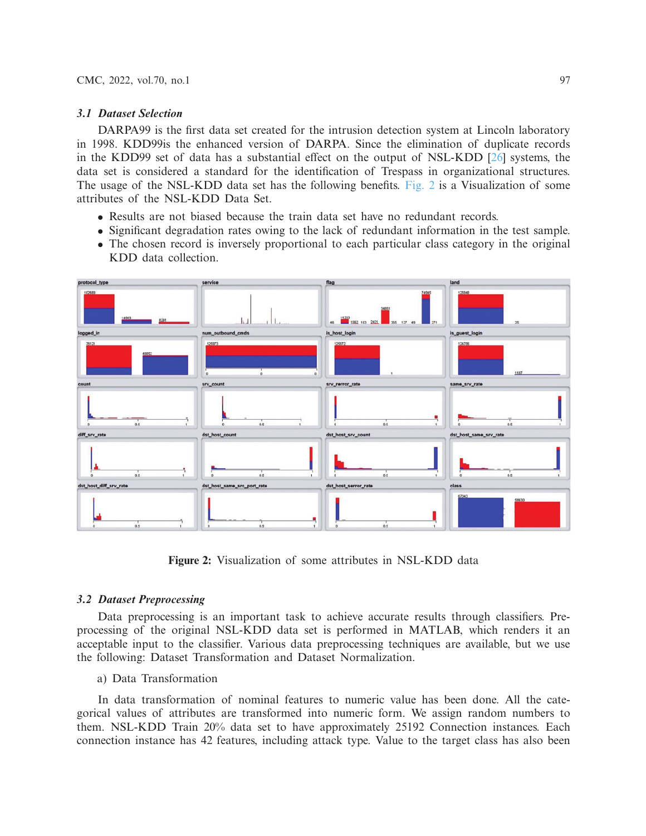*3.1 Dataset Selection* DARPA99 is the first data set created for the intrusion detection system at Lincoln laboratory in 1998. KDD99is the enhanced version of DARPA. Since the elimination of duplicate records in the KDD99 set of data has a substantial effect on the output of NSL-KDD [\[26\]](#page-15-14) systems, the data set is considered a standard for the identification of Trespass in organizational structures. The usage of the NSL-KDD data set has the following benefits. [Fig. 2](#page-6-0) is a Visualization of some attributes of the NSL-KDD Data Set.

- Results are not biased because the train data set have no redundant records.
- Significant degradation rates owing to the lack of redundant information in the test sample.
- The chosen record is inversely proportional to each particular class category in the original KDD data collection.



<span id="page-6-0"></span>**Figure 2:** Visualization of some attributes in NSL-KDD data

*3.2 Dataset Preprocessing* Data preprocessing is an important task to achieve accurate results through classifiers. Preprocessing of the original NSL-KDD data set is performed in MATLAB, which renders it an acceptable input to the classifier. Various data preprocessing techniques are available, but we use the following: Dataset Transformation and Dataset Normalization.

## a) Data Transformation

In data transformation of nominal features to numeric value has been done. All the categorical values of attributes are transformed into numeric form. We assign random numbers to them. NSL-KDD Train 20% data set to have approximately 25192 Connection instances. Each connection instance has 42 features, including attack type. Value to the target class has also been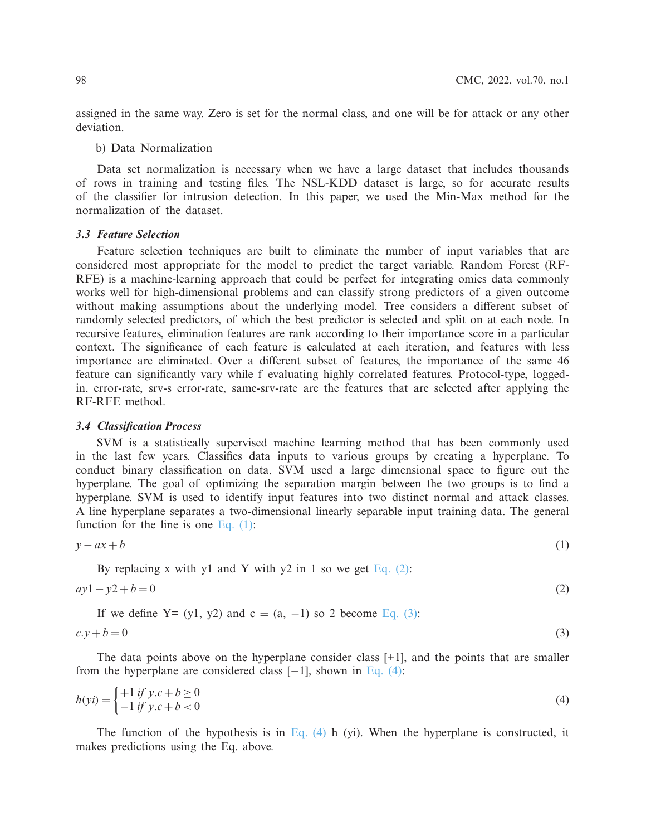assigned in the same way. Zero is set for the normal class, and one will be for attack or any other deviation.

## b) Data Normalization

Data set normalization is necessary when we have a large dataset that includes thousands of rows in training and testing files. The NSL-KDD dataset is large, so for accurate results of the classifier for intrusion detection. In this paper, we used the Min-Max method for the normalization of the dataset.

### **3.3 Feature Selection**

Feature selection techniques are built to eliminate the number of input variables that are considered most appropriate for the model to predict the target variable. Random Forest (RF-RFE) is a machine-learning approach that could be perfect for integrating omics data commonly works well for high-dimensional problems and can classify strong predictors of a given outcome without making assumptions about the underlying model. Tree considers a different subset of randomly selected predictors, of which the best predictor is selected and split on at each node. In recursive features, elimination features are rank according to their importance score in a particular context. The significance of each feature is calculated at each iteration, and features with less importance are eliminated. Over a different subset of features, the importance of the same 46 feature can significantly vary while f evaluating highly correlated features. Protocol-type, loggedin, error-rate, srv-s error-rate, same-srv-rate are the features that are selected after applying the RF-RFE method.

*3.4 Classification Process* SVM is a statistically supervised machine learning method that has been commonly used in the last few years. Classifies data inputs to various groups by creating a hyperplane. To conduct binary classification on data, SVM used a large dimensional space to figure out the hyperplane. The goal of optimizing the separation margin between the two groups is to find a hyperplane. SVM is used to identify input features into two distinct normal and attack classes. A line hyperplane separates a two-dimensional linearly separable input training data. The general function for the line is one Eq.  $(1)$ :

$$
y - ax + b \tag{1}
$$

<span id="page-7-0"></span>By replacing x with y1 and Y with  $y2$  in 1 so we get [Eq. \(2\):](#page-7-1)

$$
ay1 - y2 + b = 0 \tag{2}
$$

<span id="page-7-3"></span><span id="page-7-2"></span><span id="page-7-1"></span>

If we define Y= (y1, y2) and c =  $(a, -1)$  so 2 become [Eq. \(3\):](#page-7-2)  $c.y + b = 0$  (3)

The data points above on the hyperplane consider class [+1], and the points that are smaller from the hyperplane are considered class  $[-1]$ , shown in [Eq. \(4\):](#page-7-3)

$$
h(yi) = \begin{cases} +1 \text{ if } y.c + b \ge 0 \\ -1 \text{ if } y.c + b < 0 \end{cases} \tag{4}
$$

The function of the hypothesis is in Eq.  $(4)$  h (yi). When the hyperplane is constructed, it makes predictions using the Eq. above.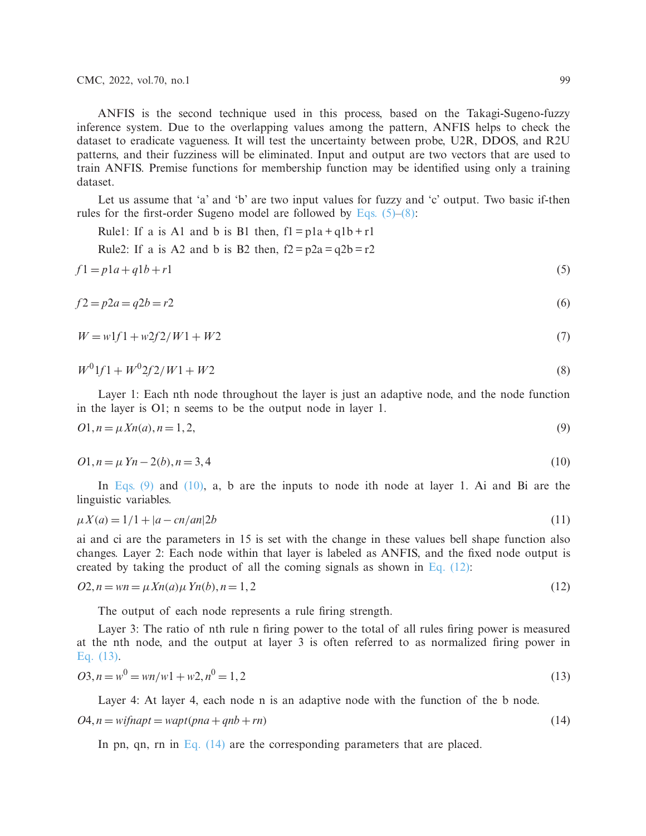CMC, 2022, vol.70, no.1 99

ANFIS is the second technique used in this process, based on the Takagi-Sugeno-fuzzy inference system. Due to the overlapping values among the pattern, ANFIS helps to check the dataset to eradicate vagueness. It will test the uncertainty between probe, U2R, DDOS, and R2U patterns, and their fuzziness will be eliminated. Input and output are two vectors that are used to train ANFIS. Premise functions for membership function may be identified using only a training dataset.

Let us assume that 'a' and 'b' are two input values for fuzzy and 'c' output. Two basic if-then rules for the first-order Sugeno model are followed by Eqs.  $(5)$ – $(8)$ :

<span id="page-8-0"></span>Rule1: If a is A1 and b is B1 then,  $f1 = p1a + q1b + r1$ 

Rule2: If a is A2 and b is B2 then, 
$$
f2 = p2a = q2b = r2
$$

$$
f1 = p1a + q1b + r1\tag{5}
$$

$$
f2 = p2a = q2b = r2
$$
\n
$$
(6)
$$

$$
W = w1f1 + w2f2/W1 + W2
$$
\n(7)

<span id="page-8-1"></span>
$$
W^{0}1f1 + W^{0}2f2/W1 + W2
$$
\n(8)

<span id="page-8-2"></span>Layer 1: Each nth node throughout the layer is just an adaptive node, and the node function in the layer is O1; n seems to be the output node in layer 1.

$$
O1, n = \mu X n(a), n = 1, 2,
$$
\n(9)

<span id="page-8-3"></span>
$$
O1, n = \mu Yn - 2(b), n = 3, 4
$$
\n<sup>(10)</sup>

In [Eqs. \(9\)](#page-8-2) and [\(10\),](#page-8-3) a, b are the inputs to node ith node at layer 1. Ai and Bi are the linguistic variables.

$$
\mu X(a) = 1/1 + |a - cn|a| \quad 2b \tag{11}
$$

ai and ci are the parameters in 15 is set with the change in these values bell shape function also changes. Layer 2: Each node within that layer is labeled as ANFIS, and the fixed node output is created by taking the product of all the coming signals as shown in [Eq. \(12\):](#page-8-4)

$$
O2, n = wn = \mu X n(a) \mu Y n(b), n = 1, 2
$$
\n(12)

<span id="page-8-4"></span>The output of each node represents a rule firing strength.

Layer 3: The ratio of nth rule n firing power to the total of all rules firing power is measured at the nth node, and the output at layer 3 is often referred to as normalized firing power in [Eq. \(13\).](#page-8-5)

<span id="page-8-5"></span>
$$
03, n = w^0 = \frac{wn}{w1} + w2, n^0 = 1, 2
$$
\n<sup>(13)</sup>

Layer 4: At layer 4, each node n is an adaptive node with the function of the b node.  $O4, n = \text{wifnapt} = \text{wapt}(pna + qnb + rn)$  (14)

<span id="page-8-6"></span>In pn, qn, rn in [Eq. \(14\)](#page-8-6) are the corresponding parameters that are placed.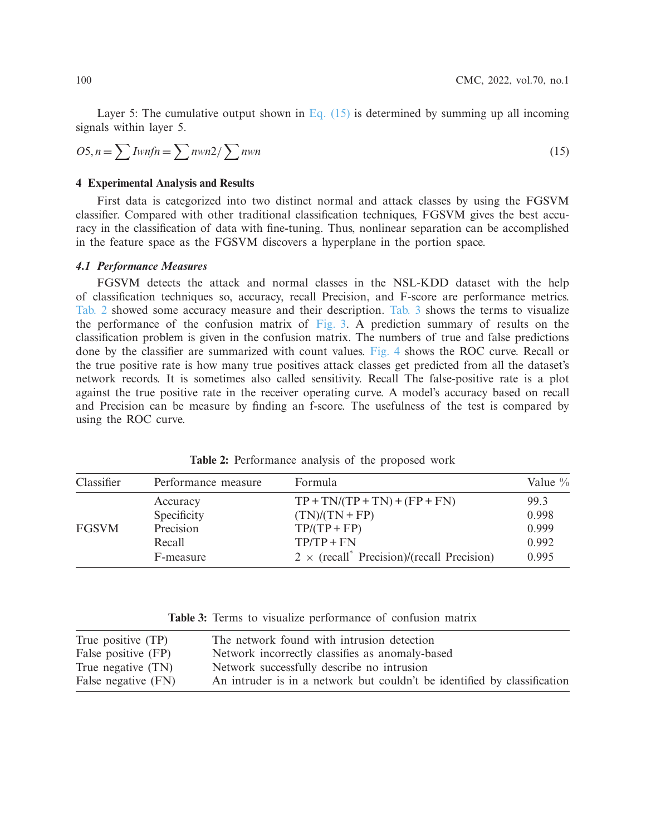<span id="page-9-0"></span>Layer 5: The cumulative output shown in Eq.  $(15)$  is determined by summing up all incoming signals within layer 5.

$$
O5, n = \sum Iwnfn = \sum nwn2/\sum nwn
$$
\n(15)

## **4 Experimental Analysis and Results**

First data is categorized into two distinct normal and attack classes by using the FGSVM classifier. Compared with other traditional classification techniques, FGSVM gives the best accuracy in the classification of data with fine-tuning. Thus, nonlinear separation can be accomplished in the feature space as the FGSVM discovers a hyperplane in the portion space.

FGSVM detects the attack and normal classes in the NSL-KDD dataset with the help of classification techniques so, accuracy, recall Precision, and F-score are performance metrics. [Tab. 2](#page-9-1) showed some accuracy measure and their description. [Tab. 3](#page-9-2) shows the terms to visualize the performance of the confusion matrix of [Fig. 3.](#page-10-0) A prediction summary of results on the classification problem is given in the confusion matrix. The numbers of true and false predictions done by the classifier are summarized with count values. [Fig. 4](#page-10-1) shows the ROC curve. Recall or the true positive rate is how many true positives attack classes get predicted from all the dataset's network records. It is sometimes also called sensitivity. Recall The false-positive rate is a plot against the true positive rate in the receiver operating curve. A model's accuracy based on recall and Precision can be measure by finding an f-score. The usefulness of the test is compared by using the ROC curve.

<span id="page-9-1"></span>

| Classifier   | Performance measure | <b>Formula</b>                                   | Value % |
|--------------|---------------------|--------------------------------------------------|---------|
|              | Accuracy            | $TP + TN/(TP + TN) + (FP + FN)$                  | 99.3    |
|              | Specificity         | $(TN)/(TN + FP)$                                 | 0.998   |
| <b>FGSVM</b> | Precision           | $TP/(TP + FP)$                                   | 0.999   |
|              | Recall              | $TP/TP + FN$                                     | 0.992   |
|              | F-measure           | $2 \times$ (recall Precision)/(recall Precision) | 0.995   |

**Table 2:** Performance analysis of the proposed work

**Table 3:** Terms to visualize performance of confusion matrix

<span id="page-9-2"></span>

| True positive (TP)  | The network found with intrusion detection                               |
|---------------------|--------------------------------------------------------------------------|
| False positive (FP) | Network incorrectly classifies as anomaly-based                          |
| True negative (TN)  | Network successfully describe no intrusion                               |
| False negative (FN) | An intruder is in a network but couldn't be identified by classification |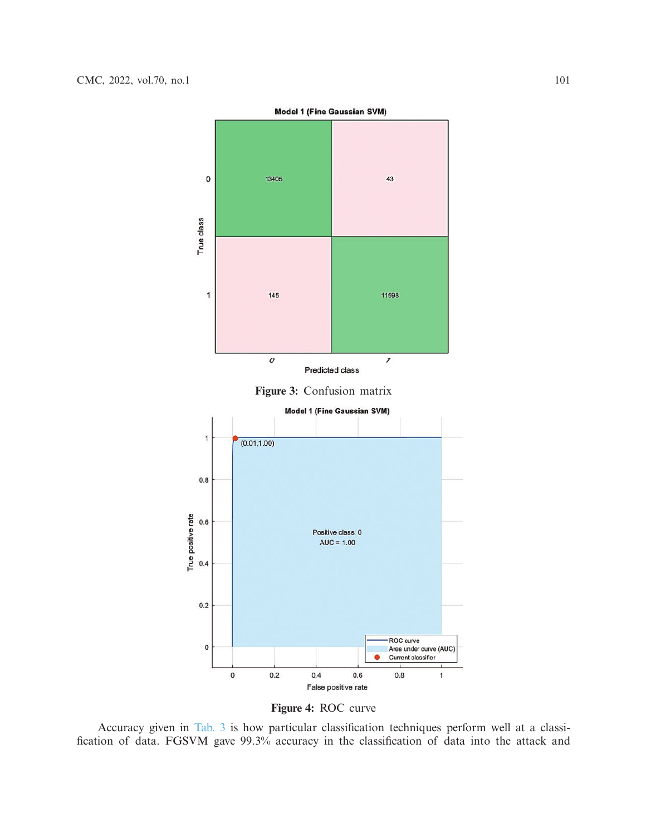<span id="page-10-0"></span>

<span id="page-10-1"></span>**Figure 4:** ROC curve

Accuracy given in [Tab. 3](#page-9-2) is how particular classification techniques perform well at a classification of data. FGSVM gave 99.3% accuracy in the classification of data into the attack and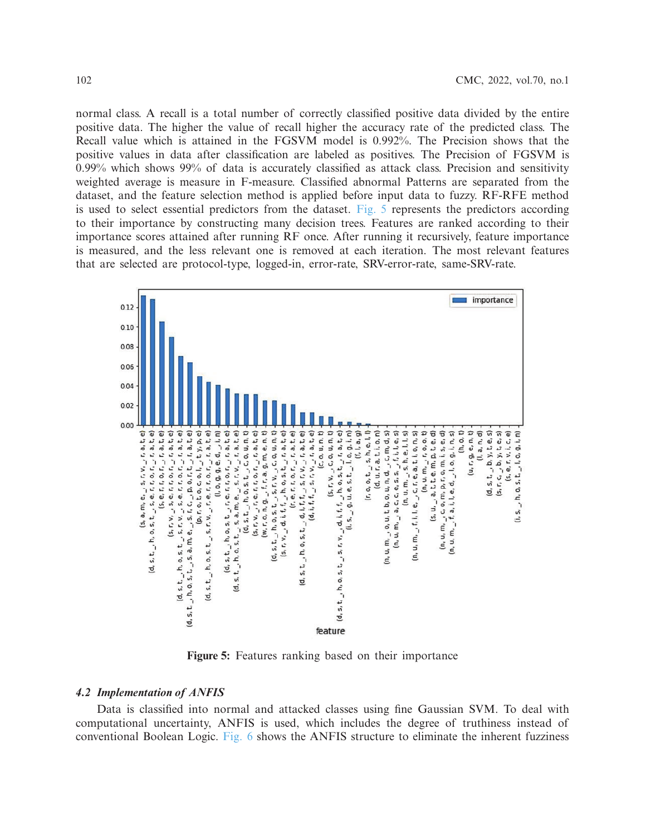normal class. A recall is a total number of correctly classified positive data divided by the entire positive data. The higher the value of recall higher the accuracy rate of the predicted class. The Recall value which is attained in the FGSVM model is 0.992%. The Precision shows that the positive values in data after classification are labeled as positives. The Precision of FGSVM is 0.99% which shows 99% of data is accurately classified as attack class. Precision and sensitivity weighted average is measure in F-measure. Classified abnormal Patterns are separated from the dataset, and the feature selection method is applied before input data to fuzzy. RF-RFE method is used to select essential predictors from the dataset. [Fig. 5](#page-11-0) represents the predictors according to their importance by constructing many decision trees. Features are ranked according to their importance scores attained after running RF once. After running it recursively, feature importance is measured, and the less relevant one is removed at each iteration. The most relevant features that are selected are protocol-type, logged-in, error-rate, SRV-error-rate, same-SRV-rate.



<span id="page-11-0"></span>**Figure 5:** Features ranking based on their importance

*4.2 Implementation of ANFIS* Data is classified into normal and attacked classes using fine Gaussian SVM. To deal with computational uncertainty, ANFIS is used, which includes the degree of truthiness instead of conventional Boolean Logic. [Fig. 6](#page-12-0) shows the ANFIS structure to eliminate the inherent fuzziness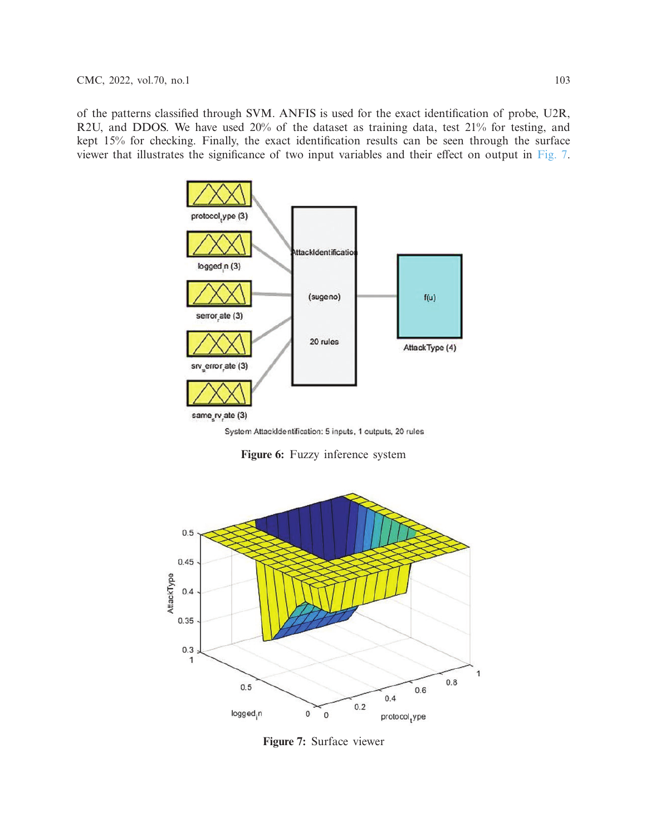of the patterns classified through SVM. ANFIS is used for the exact identification of probe, U2R, R2U, and DDOS. We have used 20% of the dataset as training data, test 21% for testing, and kept 15% for checking. Finally, the exact identification results can be seen through the surface viewer that illustrates the significance of two input variables and their effect on output in [Fig. 7.](#page-12-1)



System AttackIdentification: 5 inputs, 1 outputs, 20 rules

<span id="page-12-0"></span>**Figure 6:** Fuzzy inference system



<span id="page-12-1"></span>**Figure 7:** Surface viewer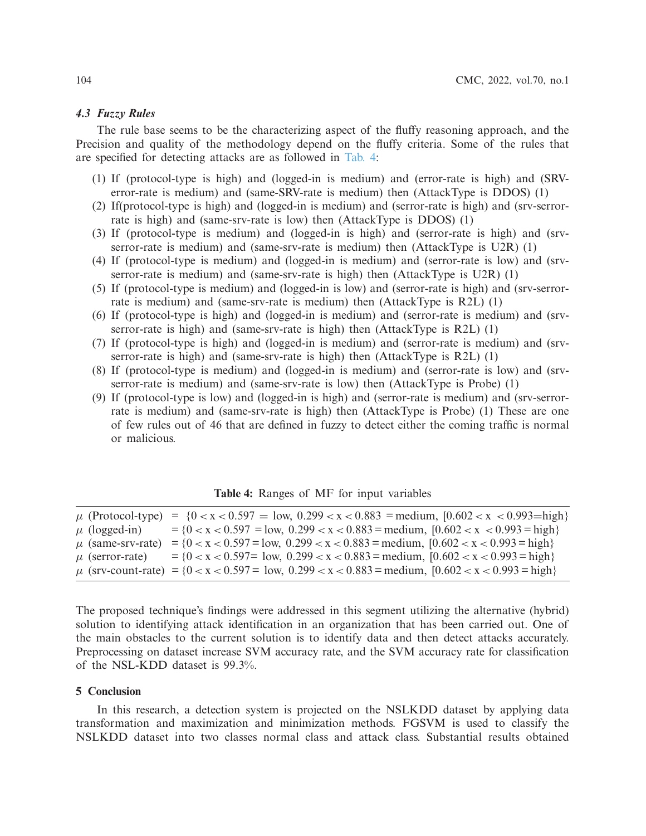The rule base seems to be the characterizing aspect of the fluffy reasoning approach, and the Precision and quality of the methodology depend on the fluffy criteria. Some of the rules that are specified for detecting attacks are as followed in [Tab. 4:](#page-13-0)

- (1) If (protocol-type is high) and (logged-in is medium) and (error-rate is high) and (SRVerror-rate is medium) and (same-SRV-rate is medium) then (AttackType is DDOS) (1)
- (2) If(protocol-type is high) and (logged-in is medium) and (serror-rate is high) and (srv-serrorrate is high) and (same-srv-rate is low) then (AttackType is DDOS) (1)
- (3) If (protocol-type is medium) and (logged-in is high) and (serror-rate is high) and (srvserror-rate is medium) and (same-srv-rate is medium) then (AttackType is U2R) (1)
- (4) If (protocol-type is medium) and (logged-in is medium) and (serror-rate is low) and (srvserror-rate is medium) and (same-srv-rate is high) then (AttackType is U2R) (1)
- (5) If (protocol-type is medium) and (logged-in is low) and (serror-rate is high) and (srv-serrorrate is medium) and (same-srv-rate is medium) then (AttackType is R2L) (1)
- (6) If (protocol-type is high) and (logged-in is medium) and (serror-rate is medium) and (srvserror-rate is high) and (same-srv-rate is high) then (AttackType is R2L) (1)
- (7) If (protocol-type is high) and (logged-in is medium) and (serror-rate is medium) and (srvserror-rate is high) and (same-srv-rate is high) then (AttackType is R2L) (1)
- (8) If (protocol-type is medium) and (logged-in is medium) and (serror-rate is low) and (srvserror-rate is medium) and (same-srv-rate is low) then (AttackType is Probe) (1)
- (9) If (protocol-type is low) and (logged-in is high) and (serror-rate is medium) and (srv-serrorrate is medium) and (same-srv-rate is high) then (AttackType is Probe) (1) These are one of few rules out of 46 that are defined in fuzzy to detect either the coming traffic is normal or malicious.

<span id="page-13-0"></span>

|                       | $\mu$ (Protocol-type) = {0 < x < 0.597 = low, 0.299 < x < 0.883 = medium, $[0.602 < x < 0.993 = \text{high}$ } |
|-----------------------|----------------------------------------------------------------------------------------------------------------|
| $\mu$ (logged-in)     | $= {0 < x < 0.597}$ = low, 0.299 < x < 0.883 = medium, $[0.602 < x < 0.993$ = high}                            |
| $\mu$ (same-srv-rate) | $= {0 < x < 0.597} = low, 0.299 < x < 0.883 = medium, [0.602 < x < 0.993 = high}$                              |
| $\mu$ (serror-rate)   | $= {0 < x < 0.597}$ low, 0.299 < x < 0.883 = medium, [0.602 < x < 0.993 = high}                                |
|                       | $\mu$ (srv-count-rate) = {0 < x < 0.597 = low, 0.299 < x < 0.883 = medium, $[0.602 < x < 0.993$ = high}        |

**Table 4:** Ranges of MF for input variables

The proposed technique's findings were addressed in this segment utilizing the alternative (hybrid) solution to identifying attack identification in an organization that has been carried out. One of the main obstacles to the current solution is to identify data and then detect attacks accurately. Preprocessing on dataset increase SVM accuracy rate, and the SVM accuracy rate for classification of the NSL-KDD dataset is 99.3%.

## **5 Conclusion**

In this research, a detection system is projected on the NSLKDD dataset by applying data transformation and maximization and minimization methods. FGSVM is used to classify the NSLKDD dataset into two classes normal class and attack class. Substantial results obtained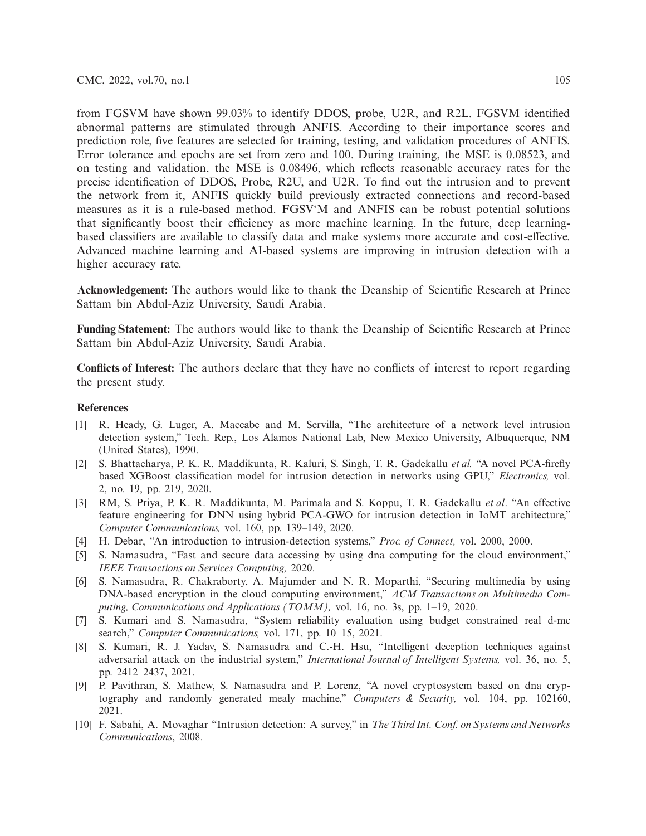from FGSVM have shown 99.03% to identify DDOS, probe, U2R, and R2L. FGSVM identified abnormal patterns are stimulated through ANFIS. According to their importance scores and prediction role, five features are selected for training, testing, and validation procedures of ANFIS. Error tolerance and epochs are set from zero and 100. During training, the MSE is 0.08523, and on testing and validation, the MSE is 0.08496, which reflects reasonable accuracy rates for the precise identification of DDOS, Probe, R2U, and U2R. To find out the intrusion and to prevent the network from it, ANFIS quickly build previously extracted connections and record-based measures as it is a rule-based method. FGSV'M and ANFIS can be robust potential solutions that significantly boost their efficiency as more machine learning. In the future, deep learningbased classifiers are available to classify data and make systems more accurate and cost-effective. Advanced machine learning and AI-based systems are improving in intrusion detection with a higher accuracy rate.

**Acknowledgement:** The authors would like to thank the Deanship of Scientific Research at Prince Sattam bin Abdul-Aziz University, Saudi Arabia.

**Funding Statement:** The authors would like to thank the Deanship of Scientific Research at Prince Sattam bin Abdul-Aziz University, Saudi Arabia.

**Conflicts of Interest:** The authors declare that they have no conflicts of interest to report regarding the present study.

## **References**

- <span id="page-14-0"></span>[1] R. Heady, G. Luger, A. Maccabe and M. Servilla, "The architecture of a network level intrusion detection system," Tech. Rep., Los Alamos National Lab, New Mexico University, Albuquerque, NM (United States), 1990.
- [2] S. Bhattacharya, P. K. R. Maddikunta, R. Kaluri, S. Singh, T. R. Gadekallu *et al.* "A novel PCA-firefly based XGBoost classification model for intrusion detection in networks using GPU," *Electronics,* vol. 2, no. 19, pp. 219, 2020.
- <span id="page-14-1"></span>[3] RM, S. Priya, P. K. R. Maddikunta, M. Parimala and S. Koppu, T. R. Gadekallu *et al*. "An effective feature engineering for DNN using hybrid PCA-GWO for intrusion detection in IoMT architecture," *Computer Communications,* vol. 160, pp. 139–149, 2020.
- <span id="page-14-2"></span>[4] H. Debar, "An introduction to intrusion-detection systems," *Proc. of Connect,* vol. 2000, 2000.
- <span id="page-14-3"></span>[5] S. Namasudra, "Fast and secure data accessing by using dna computing for the cloud environment," *IEEE Transactions on Services Computing,* 2020.
- [6] S. Namasudra, R. Chakraborty, A. Majumder and N. R. Moparthi, "Securing multimedia by using DNA-based encryption in the cloud computing environment," *ACM Transactions on Multimedia Computing, Communications and Applications (TOMM),* vol. 16, no. 3s, pp. 1–19, 2020.
- [7] S. Kumari and S. Namasudra, "System reliability evaluation using budget constrained real d-mc search," *Computer Communications,* vol. 171, pp. 10–15, 2021.
- [8] S. Kumari, R. J. Yadav, S. Namasudra and C.-H. Hsu, "Intelligent deception techniques against adversarial attack on the industrial system," *International Journal of Intelligent Systems,* vol. 36, no. 5, pp. 2412–2437, 2021.
- <span id="page-14-4"></span>[9] P. Pavithran, S. Mathew, S. Namasudra and P. Lorenz, "A novel cryptosystem based on dna cryptography and randomly generated mealy machine," *Computers & Security,* vol. 104, pp. 102160, 2021.
- <span id="page-14-5"></span>[10] F. Sabahi, A. Movaghar "Intrusion detection: A survey," in *The Third Int. Conf. on Systems and Networks Communications*, 2008.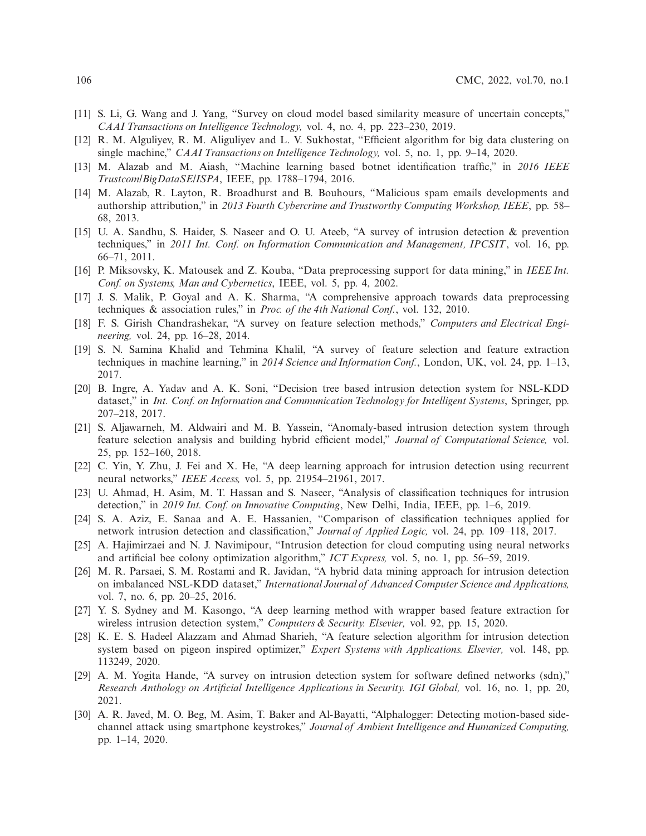- [11] S. Li, G. Wang and J. Yang, "Survey on cloud model based similarity measure of uncertain concepts," *CAAI Transactions on Intelligence Technology,* vol. 4, no. 4, pp. 223–230, 2019.
- <span id="page-15-0"></span>[12] R. M. Alguliyev, R. M. Aliguliyev and L. V. Sukhostat, "Efficient algorithm for big data clustering on single machine," *CAAI Transactions on Intelligence Technology,* vol. 5, no. 1, pp. 9–14, 2020.
- <span id="page-15-1"></span>[13] M. Alazab and M. Aiash, "Machine learning based botnet identification traffic," in *2016 IEEE Trustcom/BigDataSE/ISPA*, IEEE, pp. 1788–1794, 2016.
- <span id="page-15-2"></span>[14] M. Alazab, R. Layton, R. Broadhurst and B. Bouhours, "Malicious spam emails developments and authorship attribution," in *2013 Fourth Cybercrime and Trustworthy Computing Workshop, IEEE*, pp. 58– 68, 2013.
- <span id="page-15-3"></span>[15] U. A. Sandhu, S. Haider, S. Naseer and O. U. Ateeb, "A survey of intrusion detection & prevention techniques," in *2011 Int. Conf. on Information Communication and Management, IPCSIT*, vol. 16, pp. 66–71, 2011.
- <span id="page-15-4"></span>[16] P. Miksovsky, K. Matousek and Z. Kouba, "Data preprocessing support for data mining," in *IEEE Int. Conf. on Systems, Man and Cybernetics*, IEEE, vol. 5, pp. 4, 2002.
- <span id="page-15-5"></span>[17] J. S. Malik, P. Goyal and A. K. Sharma, "A comprehensive approach towards data preprocessing techniques & association rules," in *Proc. of the 4th National Conf.*, vol. 132, 2010.
- <span id="page-15-6"></span>[18] F. S. Girish Chandrashekar, "A survey on feature selection methods," *Computers and Electrical Engineering,* vol. 24, pp. 16–28, 2014.
- <span id="page-15-7"></span>[19] S. N. Samina Khalid and Tehmina Khalil, "A survey of feature selection and feature extraction techniques in machine learning," in *2014 Science and Information Conf.*, London, UK, vol. 24, pp. 1–13, 2017.
- <span id="page-15-8"></span>[20] B. Ingre, A. Yadav and A. K. Soni, "Decision tree based intrusion detection system for NSL-KDD dataset," in *Int. Conf. on Information and Communication Technology for Intelligent Systems*, Springer, pp. 207–218, 2017.
- <span id="page-15-9"></span>[21] S. Aljawarneh, M. Aldwairi and M. B. Yassein, "Anomaly-based intrusion detection system through feature selection analysis and building hybrid efficient model," *Journal of Computational Science,* vol. 25, pp. 152–160, 2018.
- <span id="page-15-10"></span>[22] C. Yin, Y. Zhu, J. Fei and X. He, "A deep learning approach for intrusion detection using recurrent neural networks," *IEEE Access,* vol. 5, pp. 21954–21961, 2017.
- <span id="page-15-11"></span>[23] U. Ahmad, H. Asim, M. T. Hassan and S. Naseer, "Analysis of classification techniques for intrusion detection," in *2019 Int. Conf. on Innovative Computing*, New Delhi, India, IEEE, pp. 1–6, 2019.
- <span id="page-15-12"></span>[24] S. A. Aziz, E. Sanaa and A. E. Hassanien, "Comparison of classification techniques applied for network intrusion detection and classification," *Journal of Applied Logic,* vol. 24, pp. 109–118, 2017.
- <span id="page-15-13"></span>[25] A. Hajimirzaei and N. J. Navimipour, "Intrusion detection for cloud computing using neural networks and artificial bee colony optimization algorithm," *ICT Express,* vol. 5, no. 1, pp. 56–59, 2019.
- <span id="page-15-14"></span>[26] M. R. Parsaei, S. M. Rostami and R. Javidan, "A hybrid data mining approach for intrusion detection on imbalanced NSL-KDD dataset," *International Journal of Advanced Computer Science and Applications,* vol. 7, no. 6, pp. 20–25, 2016.
- <span id="page-15-15"></span>[27] Y. S. Sydney and M. Kasongo, "A deep learning method with wrapper based feature extraction for wireless intrusion detection system," *Computers & Security. Elsevier,* vol. 92, pp. 15, 2020.
- <span id="page-15-16"></span>[28] K. E. S. Hadeel Alazzam and Ahmad Sharieh, "A feature selection algorithm for intrusion detection system based on pigeon inspired optimizer," *Expert Systems with Applications. Elsevier,* vol. 148, pp. 113249, 2020.
- <span id="page-15-17"></span>[29] A. M. Yogita Hande, "A survey on intrusion detection system for software defined networks (sdn)," *Research Anthology on Artificial Intelligence Applications in Security. IGI Global,* vol. 16, no. 1, pp. 20, 2021.
- <span id="page-15-18"></span>[30] A. R. Javed, M. O. Beg, M. Asim, T. Baker and Al-Bayatti, "Alphalogger: Detecting motion-based sidechannel attack using smartphone keystrokes," *Journal of Ambient Intelligence and Humanized Computing,* pp. 1–14, 2020.